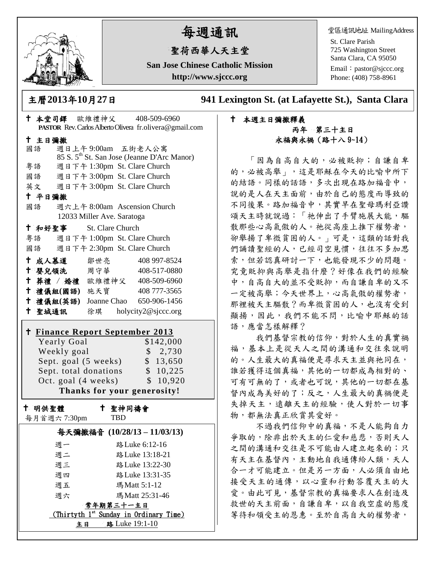

# 每週通訊

## 聖荷西華人天主堂

**San Jose Chinese Catholic Mission http://www.sjccc.org**

堂區通訊地址 MailingAddress

St. Clare Parish 725 Washington Street Santa Clara, CA 95050

Email: [pastor@sjccc.org](mailto:pastor@sjccc.org) Phone: (408) 758-8961

主曆**2013**年**10**月**27**日 **941 Lexington St. (at Lafayette St.), Santa Clara** 

### 本堂司鐸 歐維禮神父 408-509-6960 **PASTOR** Rev. Carlos Alberto Olivera fr.olivera@gmail.com 主日彌撒 國語 週日上午 9:00am 五街老人公寓 85 S. 5th St. San Jose (Jeanne D'Arc Manor) 粵語 週日下午 1:30pm St. Clare Church 國語 週日下午 3:00pm St. Clare Church 英文 週日下午 3:00pm St. Clare Church 平日彌撒 國語 週六上午 8:00am Ascension Church 12033 Miller Ave. Saratoga 和好聖事 St. Clare Church 粵語 週日下午 1:00pm St. Clare Church 國語 週日下午 2:30pm St. Clare Church 十成人慕道 鄒世亮 408 997-8524 十 嬰兒領洗 周守華 408-517-0880 葬禮 / 婚禮 歐維禮神父 408-509-6960 禮儀組**(**國語**)** 施天寶 408 777-3565 禮儀組**(**英語**)** Joanne Chao 650-906-1456 聖城通訊 徐琪 holycity2@sjccc.org **Finance [Report September](http://sjccc.org/index.php/finance.html?src=bulletin112512) 2013** Yearly Goal \$142,000 Weekly goal \$ 2,730 Sept. goal (5 weeks) \$ 13,650 Sept. total donations \$ 10,225 Oct. goal (4 weeks) \$ 10,920 **Thanks for your generosity!** 十 明供聖體 每月首週六 7:30pm 聖神同禱會 TBD 每天彌撒福音 **(10/28/13 – 11/03/13)** 週一 路Luke 6:12-16 週二 路Luke 13:18-21 週三 路Luke 13:22-30 週四 路Luke 13:31-35 週五 瑪Matt 5:1-12 週六 瑪Matt 25:31-46

常年期第三十一主日 (Thirtyth 1<sup>st</sup> Sunday in Ordinary Time) 主日 路 Luke 19:1-10

#### 本週主日彌撒釋義 丙年 第三十主日 永福與永禍(路十八 9~14)

「因為自高自大的,必被貶抑;自謙自卑 的,必被高舉」,這是耶穌在今天的比喻中所下 的結語。同樣的話語,多次出現在路加福音中, 說的是人在天主面前,由於自己的態度而導致的 不同後果。路加福音中,其實早在聖母瑪利亞讚 頌天主時就說過:「祂伸出了手臂施展大能,驅 散那些心高氣傲的人。祂從高座上推下權勢者, 卻舉揚了卑微貧困的人。」可是,這類的話對我 們誦讀聖經的人,已經司空見慣,往往不多加思 索,但若認真研討一下,也能發現不少的問題。 究竟貶抑與高舉是指什麼?好像在我們的經驗 中,自高自大的並不受貶抑,而自謙自卑的又不 一定被高舉;今天世界上,心高氣傲的權勢者, 那裡被天主驅散?而卑微貧困的人,也沒有受到 顯揚,因此,我們不能不問,比喻中耶穌的話 語,應當怎樣解釋?

我們基督宗教的信仰,對於人生的真實禍 福,基本上是從天人之間的溝通和交往來說明 的。人生最大的真福便是尋求天主並與祂同在, 誰若獲得這個真福,其他的一切都成為相對的、 可有可無的了,或者也可說,其他的一切都在基 督內成為美好的了;反之,人生最大的真禍便是 失掉天主,遠離天主的經驗,使人對於一切事 物,都無法真正欣賞其愛好。

不過我們信仰中的真福,不是人能夠自力 爭取的,除非出於天主的仁愛和慈悲,否則天人 之間的溝通和交往是不可能由人建立起來的;只 有天主在基督內,主動地自我通傳給人類,天人 合一才可能建立。但是另一方面,人必須自由地 接受天主的通傳,以心靈和行動答覆天主的大 愛。由此可見,基督宗教的真福要求人在創造及 救世的天主前面,自謙自卑,以自我空虛的態度 等待和領受主的恩惠。至於自高自大的權勢者,